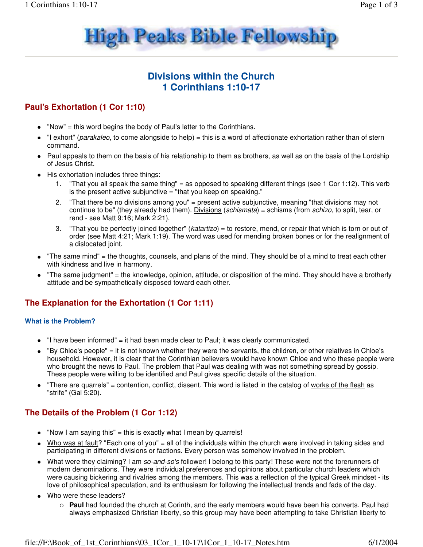

# **Divisions within the Church 1 Corinthians 1:10-17**

# **Paul's Exhortation (1 Cor 1:10)**

- "Now" = this word begins the body of Paul's letter to the Corinthians.
- "I exhort" (parakaleo, to come alongside to help) = this is a word of affectionate exhortation rather than of stern command.
- Paul appeals to them on the basis of his relationship to them as brothers, as well as on the basis of the Lordship of Jesus Christ.
- His exhortation includes three things:
	- "That you all speak the same thing" = as opposed to speaking different things (see 1 Cor 1:12). This verb is the present active subjunctive = "that you keep on speaking."
	- 2. "That there be no divisions among you" = present active subjunctive, meaning "that divisions may not continue to be" (they already had them). Divisions (schismata) = schisms (from schizo, to split, tear, or rend - see Matt 9:16; Mark 2:21).
	- 3. "That you be perfectly joined together" (katartizo) = to restore, mend, or repair that which is torn or out of order (see Matt 4:21; Mark 1:19). The word was used for mending broken bones or for the realignment of a dislocated joint.
- "The same mind" = the thoughts, counsels, and plans of the mind. They should be of a mind to treat each other with kindness and live in harmony.
- "The same judgment" = the knowledge, opinion, attitude, or disposition of the mind. They should have a brotherly attitude and be sympathetically disposed toward each other.

# **The Explanation for the Exhortation (1 Cor 1:11)**

### **What is the Problem?**

- $\bullet$  "I have been informed" = it had been made clear to Paul; it was clearly communicated.
- "By Chloe's people" = it is not known whether they were the servants, the children, or other relatives in Chloe's household. However, it is clear that the Corinthian believers would have known Chloe and who these people were who brought the news to Paul. The problem that Paul was dealing with was not something spread by gossip. These people were willing to be identified and Paul gives specific details of the situation.
- "There are quarrels" = contention, conflict, dissent. This word is listed in the catalog of works of the flesh as "strife" (Gal 5:20).

# **The Details of the Problem (1 Cor 1:12)**

- "Now I am saying this" = this is exactly what I mean by quarrels!
- Who was at fault? "Each one of you" = all of the individuals within the church were involved in taking sides and participating in different divisions or factions. Every person was somehow involved in the problem.
- What were they claiming? I am so-and-so's follower! I belong to this party! These were not the forerunners of modern denominations. They were individual preferences and opinions about particular church leaders which were causing bickering and rivalries among the members. This was a reflection of the typical Greek mindset - its love of philosophical speculation, and its enthusiasm for following the intellectual trends and fads of the day.
- Who were these leaders?
	- **Paul** had founded the church at Corinth, and the early members would have been his converts. Paul had always emphasized Christian liberty, so this group may have been attempting to take Christian liberty to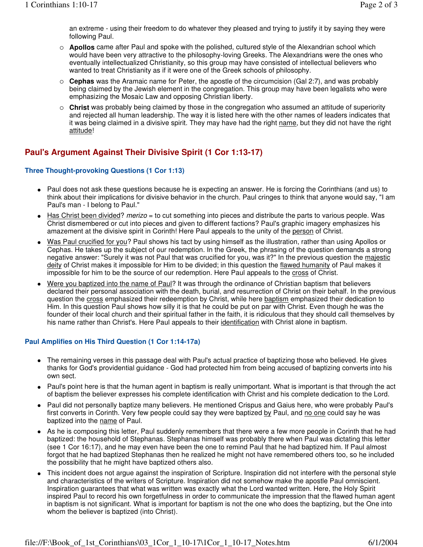an extreme - using their freedom to do whatever they pleased and trying to justify it by saying they were following Paul.

- **Apollos** came after Paul and spoke with the polished, cultured style of the Alexandrian school which would have been very attractive to the philosophy-loving Greeks. The Alexandrians were the ones who eventually intellectualized Christianity, so this group may have consisted of intellectual believers who wanted to treat Christianity as if it were one of the Greek schools of philosophy.
- **Cephas** was the Aramaic name for Peter, the apostle of the circumcision (Gal 2:7), and was probably being claimed by the Jewish element in the congregation. This group may have been legalists who were emphasizing the Mosaic Law and opposing Christian liberty.
- **Christ** was probably being claimed by those in the congregation who assumed an attitude of superiority and rejected all human leadership. The way it is listed here with the other names of leaders indicates that it was being claimed in a divisive spirit. They may have had the right name, but they did not have the right attitude!

### **Paul's Argument Against Their Divisive Spirit (1 Cor 1:13-17)**

### **Three Thought-provoking Questions (1 Cor 1:13)**

- Paul does not ask these questions because he is expecting an answer. He is forcing the Corinthians (and us) to think about their implications for divisive behavior in the church. Paul cringes to think that anyone would say, "I am Paul's man - I belong to Paul."
- Has Christ been divided? merizo = to cut something into pieces and distribute the parts to various people. Was Christ dismembered or cut into pieces and given to different factions? Paul's graphic imagery emphasizes his amazement at the divisive spirit in Corinth! Here Paul appeals to the unity of the person of Christ.
- Was Paul crucified for you? Paul shows his tact by using himself as the illustration, rather than using Apollos or Cephas. He takes up the subject of our redemption. In the Greek, the phrasing of the question demands a strong negative answer: "Surely it was not Paul that was crucified for you, was it?" In the previous question the majestic deity of Christ makes it impossible for Him to be divided; in this question the flawed humanity of Paul makes it impossible for him to be the source of our redemption. Here Paul appeals to the cross of Christ.
- Were you baptized into the name of Paul? It was through the ordinance of Christian baptism that believers declared their personal association with the death, burial, and resurrection of Christ on their behalf. In the previous question the cross emphasized their redeemption by Christ, while here baptism emphasized their dedication to Him. In this question Paul shows how silly it is that he could be put on par with Christ. Even though he was the founder of their local church and their spiritual father in the faith, it is ridiculous that they should call themselves by his name rather than Christ's. Here Paul appeals to their identification with Christ alone in baptism.

### **Paul Amplifies on His Third Question (1 Cor 1:14-17a)**

- The remaining verses in this passage deal with Paul's actual practice of baptizing those who believed. He gives thanks for God's providential guidance - God had protected him from being accused of baptizing converts into his own sect.
- Paul's point here is that the human agent in baptism is really unimportant. What is important is that through the act of baptism the believer expresses his complete identification with Christ and his complete dedication to the Lord.
- Paul did not personally baptize many believers. He mentioned Crispus and Gaius here, who were probably Paul's first converts in Corinth. Very few people could say they were baptized by Paul, and no one could say he was baptized into the name of Paul.
- As he is composing this letter, Paul suddenly remembers that there were a few more people in Corinth that he had baptized: the household of Stephanas. Stephanas himself was probably there when Paul was dictating this letter (see 1 Cor 16:17), and he may even have been the one to remind Paul that he had baptized him. If Paul almost forgot that he had baptized Stephanas then he realized he might not have remembered others too, so he included the possibility that he might have baptized others also.
- This incident does not argue against the inspiration of Scripture. Inspiration did not interfere with the personal style and characteristics of the writers of Scripture. Inspiration did not somehow make the apostle Paul omniscient. Inspiration guarantees that what was written was exactly what the Lord wanted written. Here, the Holy Spirit inspired Paul to record his own forgetfulness in order to communicate the impression that the flawed human agent in baptism is not significant. What is important for baptism is not the one who does the baptizing, but the One into whom the believer is baptized (into Christ).